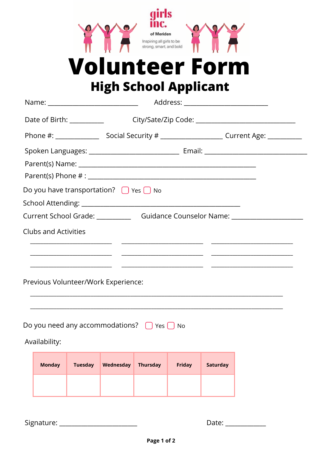



## **Volunteer Form High School Applicant**

|                                                                                  |                             |                | Name: ________________________________               |                 |               |                 | Address: __________________________                                                                                   |  |
|----------------------------------------------------------------------------------|-----------------------------|----------------|------------------------------------------------------|-----------------|---------------|-----------------|-----------------------------------------------------------------------------------------------------------------------|--|
|                                                                                  |                             |                |                                                      |                 |               |                 |                                                                                                                       |  |
|                                                                                  |                             |                |                                                      |                 |               |                 |                                                                                                                       |  |
|                                                                                  |                             |                |                                                      |                 |               |                 |                                                                                                                       |  |
|                                                                                  |                             |                |                                                      |                 |               |                 |                                                                                                                       |  |
|                                                                                  |                             |                |                                                      |                 |               |                 |                                                                                                                       |  |
|                                                                                  |                             |                | Do you have transportation? $\Box$ Yes $\Box$ No     |                 |               |                 |                                                                                                                       |  |
|                                                                                  |                             |                |                                                      |                 |               |                 |                                                                                                                       |  |
| Current School Grade: ________________Guidance Counselor Name: _________________ |                             |                |                                                      |                 |               |                 |                                                                                                                       |  |
|                                                                                  | <b>Clubs and Activities</b> |                |                                                      |                 |               |                 |                                                                                                                       |  |
|                                                                                  |                             |                | Previous Volunteer/Work Experience:                  |                 |               |                 | <u> 1989 - Johann Stoff, deutscher Stoff, der Stoff, der Stoff, der Stoff, der Stoff, der Stoff, der Stoff, der S</u> |  |
|                                                                                  | Availability:               |                | Do you need any accommodations? $\Box$ Yes $\Box$ No |                 |               |                 |                                                                                                                       |  |
|                                                                                  | <b>Monday</b>               | <b>Tuesday</b> | Wednesday                                            | <b>Thursday</b> | <b>Friday</b> | <b>Saturday</b> |                                                                                                                       |  |
|                                                                                  |                             |                |                                                      |                 |               |                 |                                                                                                                       |  |

Signature: \_\_\_\_\_\_\_\_\_\_\_\_\_\_\_\_

Date:  $\frac{1}{1}$